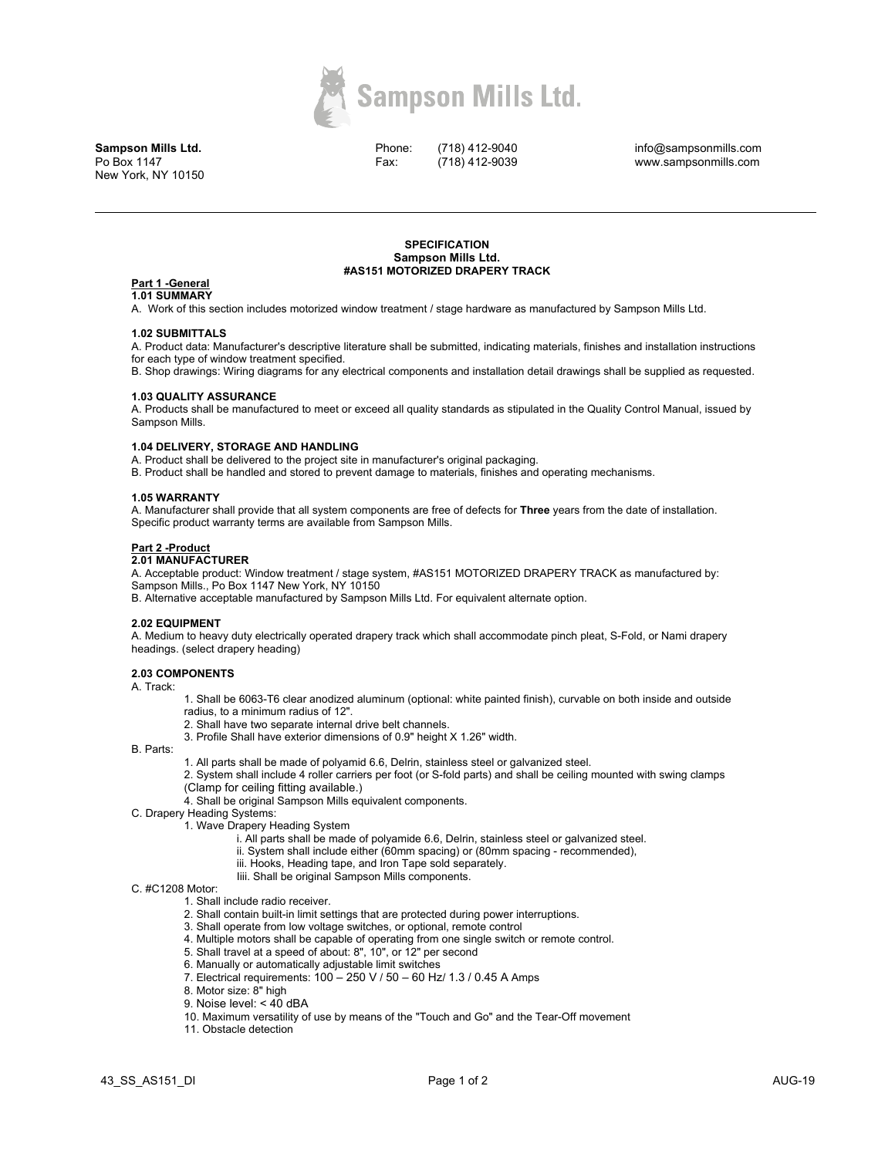

**Sampson Mills Ltd.**  Po Box 1147 New York, NY 10150  Phone: Fax:

(718) 412-9040 (718) 412-9039  info@sampsonmills.com www.sampsonmills.com

#### **SPECIFICATION Sampson Mills Ltd. #AS151 MOTORIZED DRAPERY TRACK**

# **Part 1 -General**

**1.01 SUMMARY** 

A. Work of this section includes motorized window treatment / stage hardware as manufactured by Sampson Mills Ltd.

## **1.02 SUBMITTALS**

A. Product data: Manufacturer's descriptive literature shall be submitted, indicating materials, finishes and installation instructions for each type of window treatment specified.

B. Shop drawings: Wiring diagrams for any electrical components and installation detail drawings shall be supplied as requested.

## **1.03 QUALITY ASSURANCE**

A. Products shall be manufactured to meet or exceed all quality standards as stipulated in the Quality Control Manual, issued by Sampson Mills.

## **1.04 DELIVERY, STORAGE AND HANDLING**

A. Product shall be delivered to the project site in manufacturer's original packaging.

B. Product shall be handled and stored to prevent damage to materials, finishes and operating mechanisms.

## **1.05 WARRANTY**

A. Manufacturer shall provide that all system components are free of defects for **Three** years from the date of installation. Specific product warranty terms are available from Sampson Mills.

## **Part 2 -Product**

# **2.01 MANUFACTURER**

A. Acceptable product: Window treatment / stage system, #AS151 MOTORIZED DRAPERY TRACK as manufactured by: Sampson Mills., Po Box 1147 New York, NY 10150

B. Alternative acceptable manufactured by Sampson Mills Ltd. For equivalent alternate option.

# **2.02 EQUIPMENT**

A. Medium to heavy duty electrically operated drapery track which shall accommodate pinch pleat, S-Fold, or Nami drapery headings. (select drapery heading)

# **2.03 COMPONENTS**

A. Track:

- 1. Shall be 6063-T6 clear anodized aluminum (optional: white painted finish), curvable on both inside and outside radius, to a minimum radius of 12".
- 2. Shall have two separate internal drive belt channels.
- 3. Profile Shall have exterior dimensions of 0.9" height X 1.26" width.

B. Parts:

- 1. All parts shall be made of polyamid 6.6, Delrin, stainless steel or galvanized steel.
- 2. System shall include 4 roller carriers per foot (or S-fold parts) and shall be ceiling mounted with swing clamps (Clamp for ceiling fitting available.)
- 4. Shall be original Sampson Mills equivalent components.
- C. Drapery Heading Systems:
	- 1. Wave Drapery Heading System
		- i. All parts shall be made of polyamide 6.6, Delrin, stainless steel or galvanized steel.
		- ii. System shall include either (60mm spacing) or (80mm spacing recommended),
		- iii. Hooks, Heading tape, and Iron Tape sold separately.
		- Iiii. Shall be original Sampson Mills components.

# C. #C1208 Motor:

- 1. Shall include radio receiver.
- 2. Shall contain built-in limit settings that are protected during power interruptions.
- 3. Shall operate from low voltage switches, or optional, remote control
- 4. Multiple motors shall be capable of operating from one single switch or remote control.
- 5. Shall travel at a speed of about: 8", 10", or 12" per second
- 6. Manually or automatically adjustable limit switches
- 7. Electrical requirements: 100 250 V / 50 60 Hz/ 1.3 / 0.45 A Amps
- 8. Motor size: 8" high
- 9. Noise level: < 40 dBA
- 10. Maximum versatility of use by means of the "Touch and Go" and the Tear-Off movement
- 11. Obstacle detection